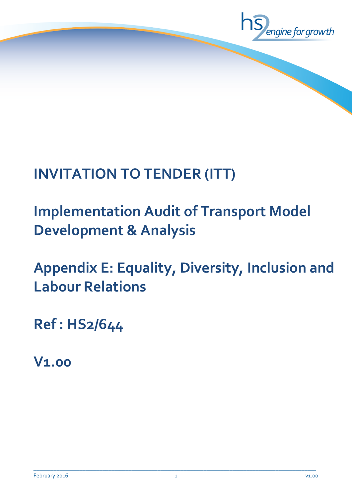

## **INVITATION TO TENDER (ITT)**

# **Implementation Audit of Transport Model Development & Analysis**

**Appendix E: Equality, Diversity, Inclusion and Labour Relations**

**Ref : HS2/644**

**V1.00**

 $\_$  ,  $\_$  ,  $\_$  ,  $\_$  ,  $\_$  ,  $\_$  ,  $\_$  ,  $\_$  ,  $\_$  ,  $\_$  ,  $\_$  ,  $\_$  ,  $\_$  ,  $\_$  ,  $\_$  ,  $\_$  ,  $\_$  ,  $\_$  ,  $\_$  ,  $\_$  ,  $\_$  ,  $\_$  ,  $\_$  ,  $\_$  ,  $\_$  ,  $\_$  ,  $\_$  ,  $\_$  ,  $\_$  ,  $\_$  ,  $\_$  ,  $\_$  ,  $\_$  ,  $\_$  ,  $\_$  ,  $\_$  ,  $\_$  ,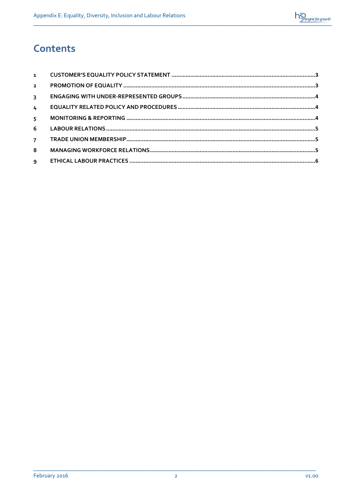

## **Contents**

| $\overline{2}$          |  |
|-------------------------|--|
| $\overline{\mathbf{3}}$ |  |
| $\overline{4}$          |  |
| $\overline{5}$          |  |
| 6                       |  |
| 7 <sup>7</sup>          |  |
| 8                       |  |
|                         |  |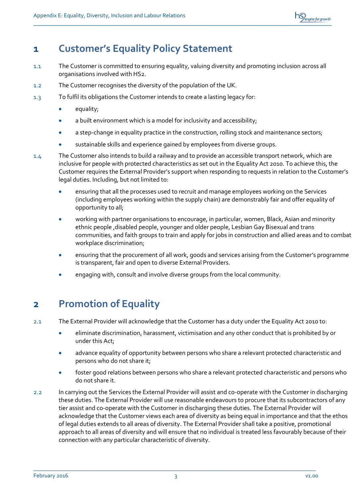

#### <span id="page-2-0"></span>**1 Customer's Equality Policy Statement**

- 1.1 The Customer is committed to ensuring equality, valuing diversity and promoting inclusion across all organisations involved with HS2.
- 1.2 The Customer recognises the diversity of the population of the UK.
- 1.3 To fulfil its obligations the Customer intends to create a lasting legacy for:
	- equality;
	- a built environment which is a model for inclusivity and accessibility;
	- a step-change in equality practice in the construction, rolling stock and maintenance sectors;
	- sustainable skills and experience gained by employees from diverse groups.
- 1.4 The Customer also intends to build a railway and to provide an accessible transport network, which are inclusive for people with protected characteristics as set out in the Equality Act 2010. To achieve this, the Customer requires the External Provider's support when responding to requests in relation to the Customer's legal duties. Including, but not limited to:
	- ensuring that all the processes used to recruit and manage employees working on the Services (including employees working within the supply chain) are demonstrably fair and offer equality of opportunity to all;
	- working with partner organisations to encourage, in particular, women, Black, Asian and minority ethnic people ,disabled people, younger and older people, Lesbian Gay Bisexual and trans communities, and faith groups to train and apply for jobs in construction and allied areas and to combat workplace discrimination;
	- ensuring that the procurement of all work, goods and services arising from the Customer's programme is transparent, fair and open to diverse External Providers.
	- engaging with, consult and involve diverse groups from the local community.

## <span id="page-2-1"></span>**2 Promotion of Equality**

- 2.1 The External Provider will acknowledge that the Customer has a duty under the Equality Act 2010 to:
	- eliminate discrimination, harassment, victimisation and any other conduct that is prohibited by or under this Act;
	- advance equality of opportunity between persons who share a relevant protected characteristic and persons who do not share it;
	- foster good relations between persons who share a relevant protected characteristic and persons who do not share it.
- 2.2 In carrying out the Services the External Provider will assist and co-operate with the Customer in discharging these duties. The External Provider will use reasonable endeavours to procure that its subcontractors of any tier assist and co-operate with the Customer in discharging these duties. The External Provider will acknowledge that the Customer views each area of diversity as being equal in importance and that the ethos of legal duties extends to all areas of diversity. The External Provider shall take a positive, promotional approach to all areas of diversity and will ensure that no individual is treated less favourably because of their connection with any particular characteristic of diversity.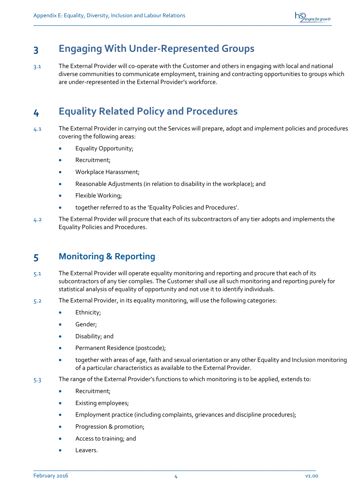

## <span id="page-3-0"></span>**3 Engaging With Under-Represented Groups**

3.1 The External Provider will co-operate with the Customer and others in engaging with local and national diverse communities to communicate employment, training and contracting opportunities to groups which are under-represented in the External Provider's workforce.

## <span id="page-3-1"></span>**4 Equality Related Policy and Procedures**

- 4.1 The External Provider in carrying out the Services will prepare, adopt and implement policies and procedures covering the following areas:
	- Equality Opportunity;
	- Recruitment;
	- Workplace Harassment;
	- Reasonable Adjustments (in relation to disability in the workplace); and
	- Flexible Working;
	- together referred to as the 'Equality Policies and Procedures'.
- 4.2 The External Provider will procure that each of its subcontractors of any tier adopts and implements the Equality Policies and Procedures.

#### <span id="page-3-2"></span>**5 Monitoring & Reporting**

- 5.1 The External Provider will operate equality monitoring and reporting and procure that each of its subcontractors of any tier complies. The Customer shall use all such monitoring and reporting purely for statistical analysis of equality of opportunity and not use it to identify individuals.
- 5.2 The External Provider, in its equality monitoring, will use the following categories:
	- Ethnicity;
	- Gender;
	- Disability; and
	- Permanent Residence (postcode);
	- together with areas of age, faith and sexual orientation or any other Equality and Inclusion monitoring of a particular characteristics as available to the External Provider.
- 5.3 The range of the External Provider's functions to which monitoring is to be applied, extends to:
	- Recruitment;
	- Existing employees;
	- Employment practice (including complaints, grievances and discipline procedures);
	- Progression & promotion;
	- Access to training; and
	- Leavers.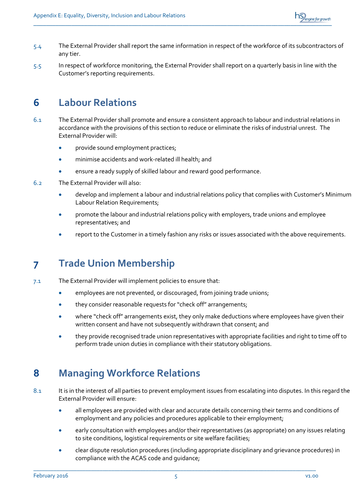

- 5.4 The External Provider shall report the same information in respect of the workforce of its subcontractors of any tier.
- 5.5 In respect of workforce monitoring, the External Provider shall report on a quarterly basis in line with the Customer's reporting requirements.

#### <span id="page-4-0"></span>**6 Labour Relations**

- 6.1 The External Provider shall promote and ensure a consistent approach to labour and industrial relations in accordance with the provisions of this section to reduce or eliminate the risks of industrial unrest. The External Provider will:
	- provide sound employment practices;
	- minimise accidents and work-related ill health; and
	- ensure a ready supply of skilled labour and reward good performance.
- 6.2 The External Provider will also:
	- develop and implement a labour and industrial relations policy that complies with Customer's Minimum Labour Relation Requirements;
	- promote the labour and industrial relations policy with employers, trade unions and employee representatives; and
	- report to the Customer in a timely fashion any risks or issues associated with the above requirements.

#### <span id="page-4-1"></span>**7 Trade Union Membership**

- 7.1 The External Provider will implement policies to ensure that:
	- employees are not prevented, or discouraged, from joining trade unions;
	- they consider reasonable requests for "check off" arrangements;
	- where "check off" arrangements exist, they only make deductions where employees have given their written consent and have not subsequently withdrawn that consent; and
	- they provide recognised trade union representatives with appropriate facilities and right to time off to perform trade union duties in compliance with their statutory obligations.

#### <span id="page-4-2"></span>**8 Managing Workforce Relations**

- 8.1 It is in the interest of all parties to prevent employment issues from escalating into disputes. In this regard the External Provider will ensure:
	- all employees are provided with clear and accurate details concerning their terms and conditions of employment and any policies and procedures applicable to their employment;
	- early consultation with employees and/or their representatives (as appropriate) on any issues relating to site conditions, logistical requirements or site welfare facilities;
	- clear dispute resolution procedures (including appropriate disciplinary and grievance procedures) in compliance with the ACAS code and guidance;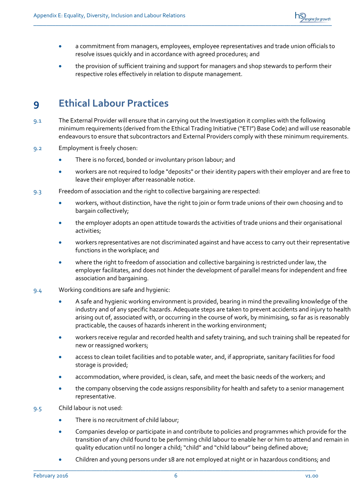

- a commitment from managers, employees, employee representatives and trade union officials to resolve issues quickly and in accordance with agreed procedures; and
- the provision of sufficient training and support for managers and shop stewards to perform their respective roles effectively in relation to dispute management.

## <span id="page-5-0"></span>**9 Ethical Labour Practices**

- 9.1 The External Provider will ensure that in carrying out the Investigation it complies with the following minimum requirements (derived from the Ethical Trading Initiative ("ETI") Base Code) and will use reasonable endeavours to ensure that subcontractors and External Providers comply with these minimum requirements.
- 9.2 Employment is freely chosen:
	- There is no forced, bonded or involuntary prison labour; and
	- workers are not required to lodge "deposits" or their identity papers with their employer and are free to leave their employer after reasonable notice.
- 9.3 Freedom of association and the right to collective bargaining are respected:
	- workers, without distinction, have the right to join or form trade unions of their own choosing and to bargain collectively;
	- the employer adopts an open attitude towards the activities of trade unions and their organisational activities;
	- workers representatives are not discriminated against and have access to carry out their representative functions in the workplace; and
	- where the right to freedom of association and collective bargaining is restricted under law, the employer facilitates, and does not hinder the development of parallel means for independent and free association and bargaining.
- 9.4 Working conditions are safe and hygienic:
	- A safe and hygienic working environment is provided, bearing in mind the prevailing knowledge of the industry and of any specific hazards. Adequate steps are taken to prevent accidents and injury to health arising out of, associated with, or occurring in the course of work, by minimising, so far as is reasonably practicable, the causes of hazards inherent in the working environment;
	- workers receive regular and recorded health and safety training, and such training shall be repeated for new or reassigned workers;
	- access to clean toilet facilities and to potable water, and, if appropriate, sanitary facilities for food storage is provided;
	- accommodation, where provided, is clean, safe, and meet the basic needs of the workers; and
	- the company observing the code assigns responsibility for health and safety to a senior management representative.
- 9.5 Child labour is not used:
	- There is no recruitment of child labour;
	- Companies develop or participate in and contribute to policies and programmes which provide for the transition of any child found to be performing child labour to enable her or him to attend and remain in quality education until no longer a child; "child" and "child labour" being defined above;
	- Children and young persons under 18 are not employed at night or in hazardous conditions; and